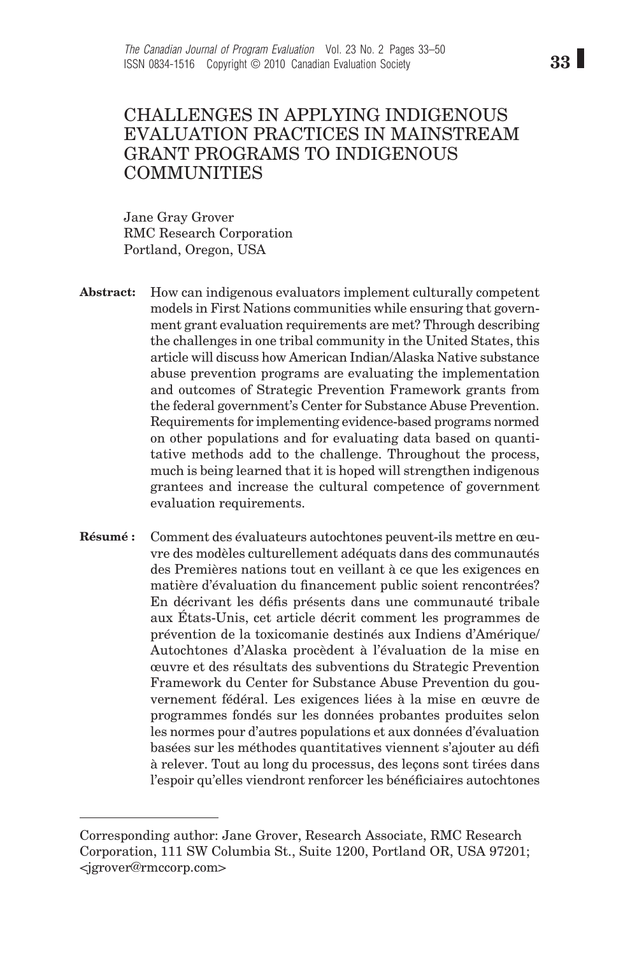# CHALLENGES IN APPLYING INDIGENOUS EVALUATION PRACTICES IN MAINSTREAM GRANT PROGRAMS TO INDIGENOUS COMMUNITIES

Jane Gray Grover RMC Research Corporation Portland, Oregon, USA

- How can indigenous evaluators implement culturally competent models in First Nations communities while ensuring that government grant evaluation requirements are met? Through describing the challenges in one tribal community in the United States, this article will discuss how American Indian/Alaska Native substance abuse prevention programs are evaluating the implementation and outcomes of Strategic Prevention Framework grants from the federal government's Center for Substance Abuse Prevention. Requirements for implementing evidence-based programs normed on other populations and for evaluating data based on quantitative methods add to the challenge. Throughout the process, much is being learned that it is hoped will strengthen indigenous grantees and increase the cultural competence of government evaluation requirements. **Abstract:**
- Comment des évaluateurs autochtones peuvent-ils mettre en œuvre des modèles culturellement adéquats dans des communautés des Premières nations tout en veillant à ce que les exigences en matière d'évaluation du financement public soient rencontrées? En décrivant les défis présents dans une communauté tribale aux États-Unis, cet article décrit comment les programmes de prévention de la toxicomanie destinés aux Indiens d'Amérique/ Autochtones d'Alaska procèdent à l'évaluation de la mise en œuvre et des résultats des subventions du Strategic Prevention Framework du Center for Substance Abuse Prevention du gouvernement fédéral. Les exigences liées à la mise en œuvre de programmes fondés sur les données probantes produites selon les normes pour d'autres populations et aux données d'évaluation basées sur les méthodes quantitatives viennent s'ajouter au défi à relever. Tout au long du processus, des leçons sont tirées dans l'espoir qu'elles viendront renforcer les bénéficiaires autochtones **Résumé :**

Corresponding author: Jane Grover, Research Associate, RMC Research Corporation, 111 SW Columbia St., Suite 1200, Portland OR, USA 97201; <jgrover@rmccorp.com>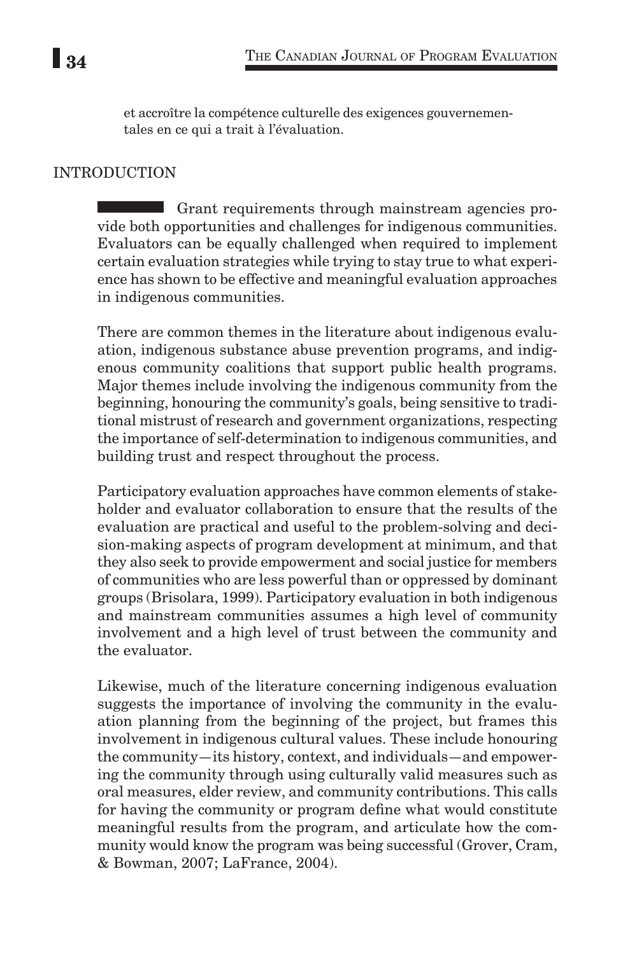et accroître la compétence culturelle des exigences gouvernementales en ce qui a trait à l'évaluation.

## INTRODUCTION

Grant requirements through mainstream agencies provide both opportunities and challenges for indigenous communities. Evaluators can be equally challenged when required to implement certain evaluation strategies while trying to stay true to what experience has shown to be effective and meaningful evaluation approaches in indigenous communities.

There are common themes in the literature about indigenous evaluation, indigenous substance abuse prevention programs, and indigenous community coalitions that support public health programs. Major themes include involving the indigenous community from the beginning, honouring the community's goals, being sensitive to traditional mistrust of research and government organizations, respecting the importance of self-determination to indigenous communities, and building trust and respect throughout the process.

Participatory evaluation approaches have common elements of stakeholder and evaluator collaboration to ensure that the results of the evaluation are practical and useful to the problem-solving and decision-making aspects of program development at minimum, and that they also seek to provide empowerment and social justice for members of communities who are less powerful than or oppressed by dominant groups (Brisolara, 1999). Participatory evaluation in both indigenous and mainstream communities assumes a high level of community involvement and a high level of trust between the community and the evaluator.

Likewise, much of the literature concerning indigenous evaluation suggests the importance of involving the community in the evaluation planning from the beginning of the project, but frames this involvement in indigenous cultural values. These include honouring the community—its history, context, and individuals—and empowering the community through using culturally valid measures such as oral measures, elder review, and community contributions. This calls for having the community or program define what would constitute meaningful results from the program, and articulate how the community would know the program was being successful (Grover, Cram, & Bowman, 2007; LaFrance, 2004).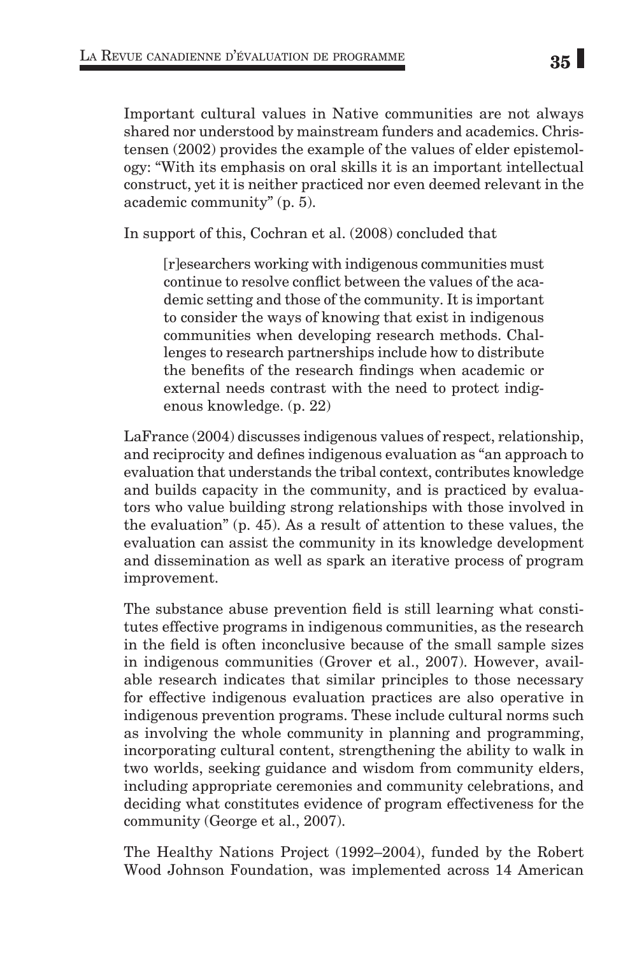Important cultural values in Native communities are not always shared nor understood by mainstream funders and academics. Christensen (2002) provides the example of the values of elder epistemology: "With its emphasis on oral skills it is an important intellectual construct, yet it is neither practiced nor even deemed relevant in the academic community" (p. 5).

In support of this, Cochran et al. (2008) concluded that

[r]esearchers working with indigenous communities must continue to resolve conflict between the values of the academic setting and those of the community. It is important to consider the ways of knowing that exist in indigenous communities when developing research methods. Challenges to research partnerships include how to distribute the benefits of the research findings when academic or external needs contrast with the need to protect indigenous knowledge. (p. 22)

LaFrance (2004) discusses indigenous values of respect, relationship, and reciprocity and defines indigenous evaluation as "an approach to evaluation that understands the tribal context, contributes knowledge and builds capacity in the community, and is practiced by evaluators who value building strong relationships with those involved in the evaluation" (p. 45). As a result of attention to these values, the evaluation can assist the community in its knowledge development and dissemination as well as spark an iterative process of program improvement.

The substance abuse prevention field is still learning what constitutes effective programs in indigenous communities, as the research in the field is often inconclusive because of the small sample sizes in indigenous communities (Grover et al., 2007). However, available research indicates that similar principles to those necessary for effective indigenous evaluation practices are also operative in indigenous prevention programs. These include cultural norms such as involving the whole community in planning and programming, incorporating cultural content, strengthening the ability to walk in two worlds, seeking guidance and wisdom from community elders, including appropriate ceremonies and community celebrations, and deciding what constitutes evidence of program effectiveness for the community (George et al., 2007).

The Healthy Nations Project (1992–2004), funded by the Robert Wood Johnson Foundation, was implemented across 14 American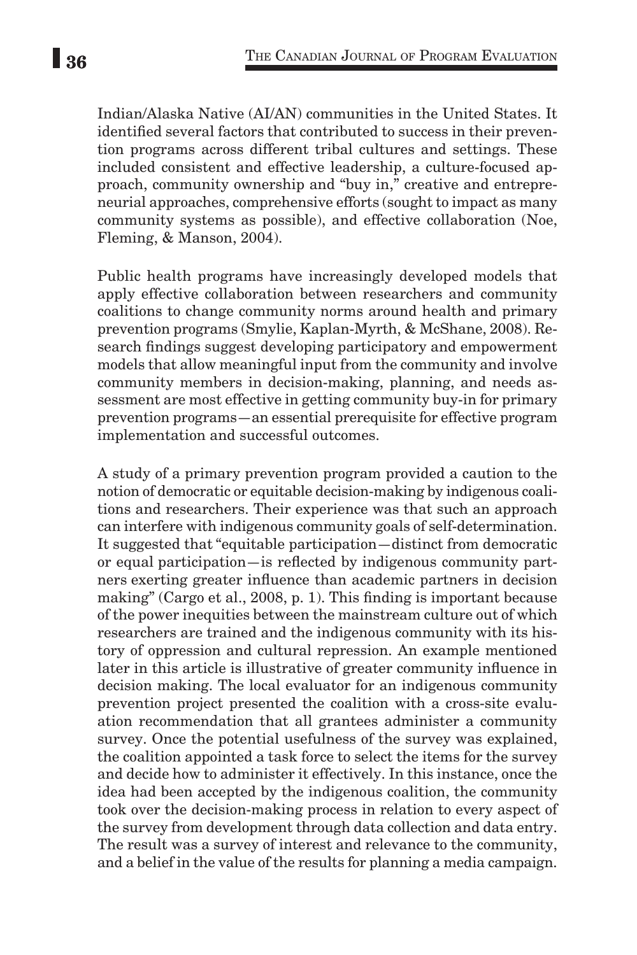Indian/Alaska Native (AI/AN) communities in the United States. It identified several factors that contributed to success in their prevention programs across different tribal cultures and settings. These included consistent and effective leadership, a culture-focused approach, community ownership and "buy in," creative and entrepreneurial approaches, comprehensive efforts (sought to impact as many community systems as possible), and effective collaboration (Noe, Fleming, & Manson, 2004).

Public health programs have increasingly developed models that apply effective collaboration between researchers and community coalitions to change community norms around health and primary prevention programs (Smylie, Kaplan-Myrth, & McShane, 2008). Research findings suggest developing participatory and empowerment models that allow meaningful input from the community and involve community members in decision-making, planning, and needs assessment are most effective in getting community buy-in for primary prevention programs—an essential prerequisite for effective program implementation and successful outcomes.

A study of a primary prevention program provided a caution to the notion of democratic or equitable decision-making by indigenous coalitions and researchers. Their experience was that such an approach can interfere with indigenous community goals of self-determination. It suggested that "equitable participation—distinct from democratic or equal participation—is reflected by indigenous community partners exerting greater influence than academic partners in decision making" (Cargo et al., 2008, p. 1). This finding is important because of the power inequities between the mainstream culture out of which researchers are trained and the indigenous community with its history of oppression and cultural repression. An example mentioned later in this article is illustrative of greater community influence in decision making. The local evaluator for an indigenous community prevention project presented the coalition with a cross-site evaluation recommendation that all grantees administer a community survey. Once the potential usefulness of the survey was explained, the coalition appointed a task force to select the items for the survey and decide how to administer it effectively. In this instance, once the idea had been accepted by the indigenous coalition, the community took over the decision-making process in relation to every aspect of the survey from development through data collection and data entry. The result was a survey of interest and relevance to the community, and a belief in the value of the results for planning a media campaign.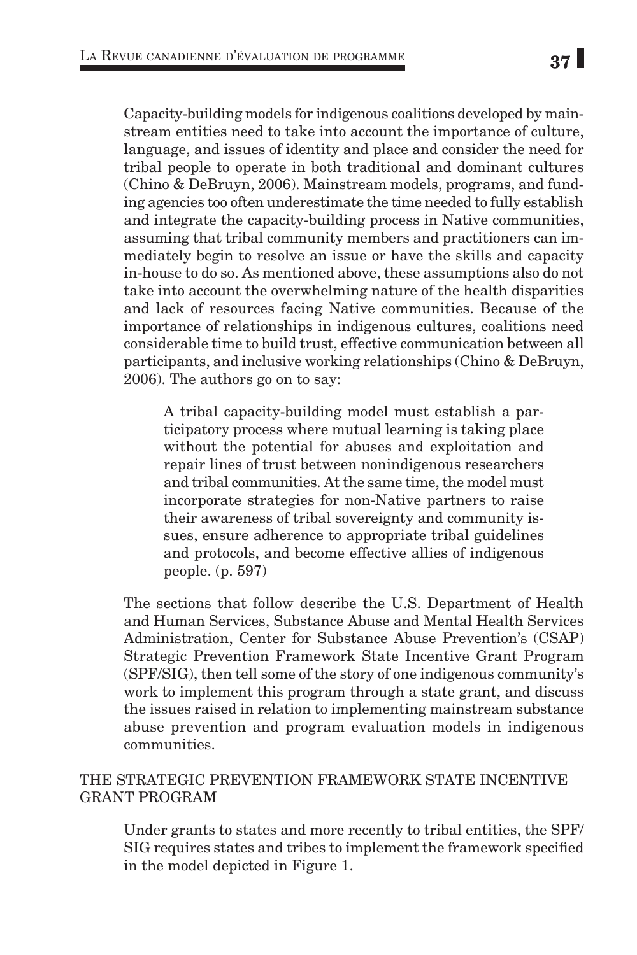2006). The authors go on to say:

Capacity-building models for indigenous coalitions developed by mainstream entities need to take into account the importance of culture, language, and issues of identity and place and consider the need for tribal people to operate in both traditional and dominant cultures (Chino & DeBruyn, 2006). Mainstream models, programs, and funding agencies too often underestimate the time needed to fully establish and integrate the capacity-building process in Native communities, assuming that tribal community members and practitioners can immediately begin to resolve an issue or have the skills and capacity in-house to do so. As mentioned above, these assumptions also do not take into account the overwhelming nature of the health disparities and lack of resources facing Native communities. Because of the importance of relationships in indigenous cultures, coalitions need considerable time to build trust, effective communication between all participants, and inclusive working relationships (Chino & DeBruyn,

A tribal capacity-building model must establish a participatory process where mutual learning is taking place without the potential for abuses and exploitation and repair lines of trust between nonindigenous researchers and tribal communities. At the same time, the model must incorporate strategies for non-Native partners to raise their awareness of tribal sovereignty and community issues, ensure adherence to appropriate tribal guidelines and protocols, and become effective allies of indigenous people. (p. 597)

The sections that follow describe the U.S. Department of Health and Human Services, Substance Abuse and Mental Health Services Administration, Center for Substance Abuse Prevention's (CSAP) Strategic Prevention Framework State Incentive Grant Program (SPF/SIG), then tell some of the story of one indigenous community's work to implement this program through a state grant, and discuss the issues raised in relation to implementing mainstream substance abuse prevention and program evaluation models in indigenous communities.

# THE STRATEGIC PREVENTION FRAMEWORK STATE INCENTIVE GRANT PROGRAM

Under grants to states and more recently to tribal entities, the SPF/ SIG requires states and tribes to implement the framework specified in the model depicted in Figure 1.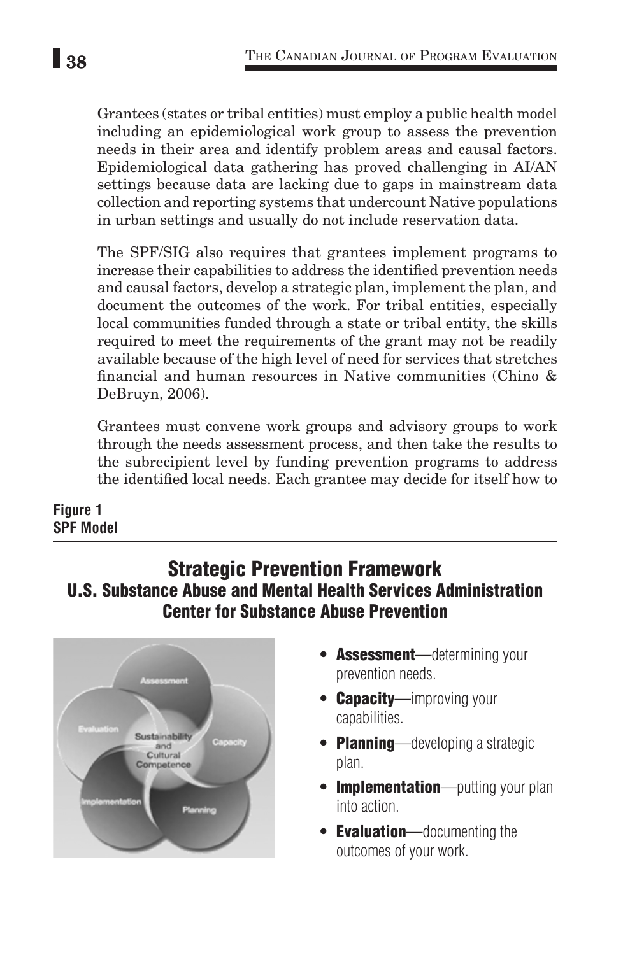Grantees (states or tribal entities) must employ a public health model including an epidemiological work group to assess the prevention needs in their area and identify problem areas and causal factors. Epidemiological data gathering has proved challenging in AI/AN settings because data are lacking due to gaps in mainstream data collection and reporting systems that undercount Native populations in urban settings and usually do not include reservation data.

The SPF/SIG also requires that grantees implement programs to increase their capabilities to address the identified prevention needs and causal factors, develop a strategic plan, implement the plan, and document the outcomes of the work. For tribal entities, especially local communities funded through a state or tribal entity, the skills required to meet the requirements of the grant may not be readily available because of the high level of need for services that stretches financial and human resources in Native communities (Chino & DeBruyn, 2006).

Grantees must convene work groups and advisory groups to work through the needs assessment process, and then take the results to the subrecipient level by funding prevention programs to address the identified local needs. Each grantee may decide for itself how to

## **Figure 1 SPF Model**

# Strategic Prevention Framework U.S. Substance Abuse and Mental Health Services Administration Center for Substance Abuse Prevention



- **Assessment**—determining your prevention needs.
- **Capacity**—improving your capabilities.
- **Planning**—developing a strategic plan.
- Implementation-putting your plan into action.
- **Evaluation**—documenting the outcomes of your work.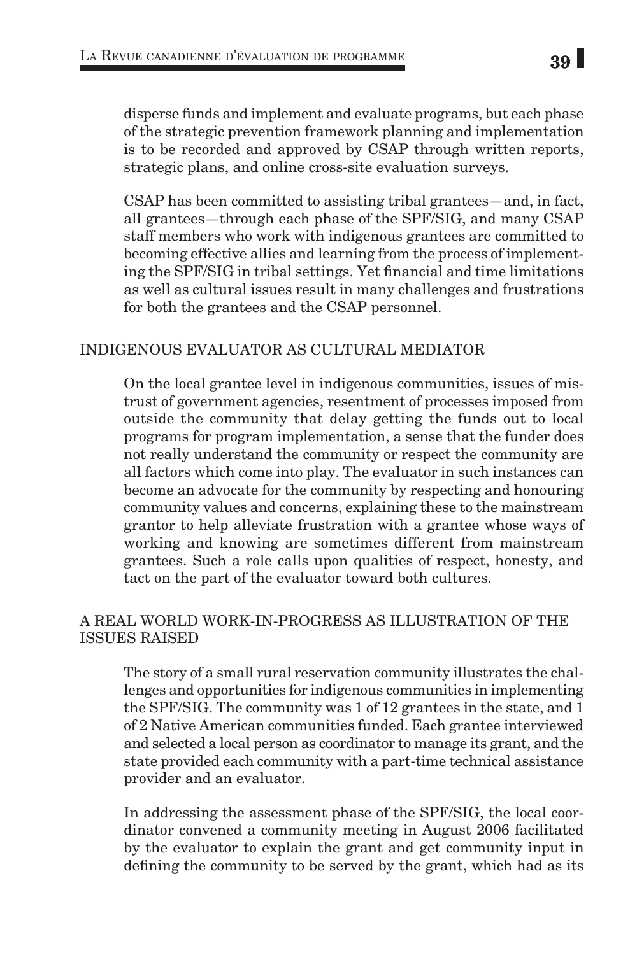disperse funds and implement and evaluate programs, but each phase of the strategic prevention framework planning and implementation is to be recorded and approved by CSAP through written reports, strategic plans, and online cross-site evaluation surveys.

CSAP has been committed to assisting tribal grantees—and, in fact, all grantees—through each phase of the SPF/SIG, and many CSAP staff members who work with indigenous grantees are committed to becoming effective allies and learning from the process of implementing the SPF/SIG in tribal settings. Yet financial and time limitations as well as cultural issues result in many challenges and frustrations for both the grantees and the CSAP personnel.

## INDIGENOUS EVALUATOR AS CULTURAL MEDIATOR

On the local grantee level in indigenous communities, issues of mistrust of government agencies, resentment of processes imposed from outside the community that delay getting the funds out to local programs for program implementation, a sense that the funder does not really understand the community or respect the community are all factors which come into play. The evaluator in such instances can become an advocate for the community by respecting and honouring community values and concerns, explaining these to the mainstream grantor to help alleviate frustration with a grantee whose ways of working and knowing are sometimes different from mainstream grantees. Such a role calls upon qualities of respect, honesty, and tact on the part of the evaluator toward both cultures.

## A REAL WORLD WORK-IN-PROGRESS AS ILLUSTRATION OF THE ISSUES RAISED

The story of a small rural reservation community illustrates the challenges and opportunities for indigenous communities in implementing the SPF/SIG. The community was 1 of 12 grantees in the state, and 1 of 2 Native American communities funded. Each grantee interviewed and selected a local person as coordinator to manage its grant, and the state provided each community with a part-time technical assistance provider and an evaluator.

In addressing the assessment phase of the SPF/SIG, the local coordinator convened a community meeting in August 2006 facilitated by the evaluator to explain the grant and get community input in defining the community to be served by the grant, which had as its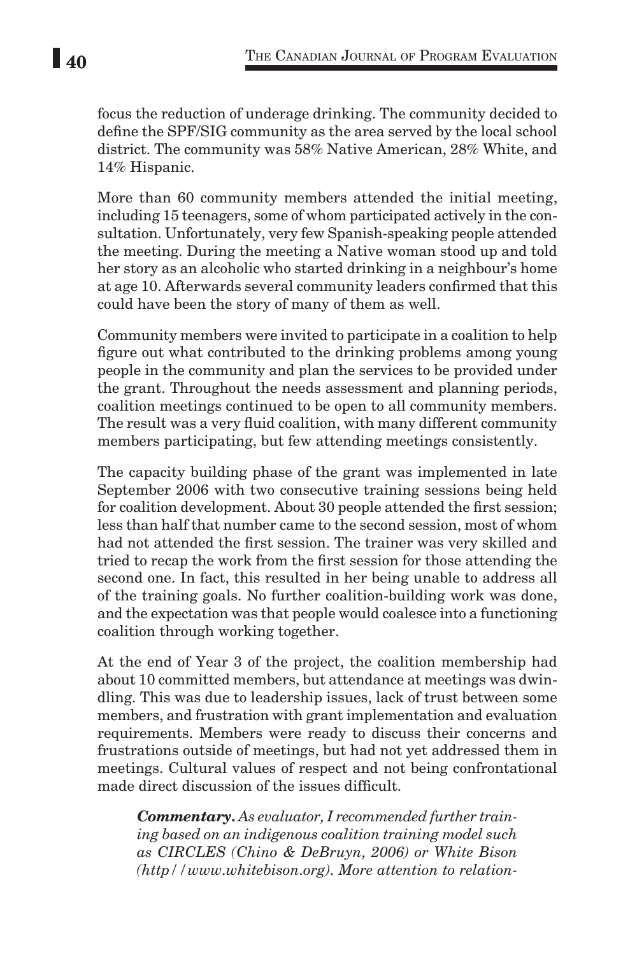focus the reduction of underage drinking. The community decided to define the SPF/SIG community as the area served by the local school district. The community was 58% Native American, 28% White, and 14% Hispanic.

More than 60 community members attended the initial meeting, including 15 teenagers, some of whom participated actively in the consultation. Unfortunately, very few Spanish-speaking people attended the meeting. During the meeting a Native woman stood up and told her story as an alcoholic who started drinking in a neighbour's home at age 10. Afterwards several community leaders confirmed that this could have been the story of many of them as well.

Community members were invited to participate in a coalition to help figure out what contributed to the drinking problems among young people in the community and plan the services to be provided under the grant. Throughout the needs assessment and planning periods, coalition meetings continued to be open to all community members. The result was a very fluid coalition, with many different community members participating, but few attending meetings consistently.

The capacity building phase of the grant was implemented in late September 2006 with two consecutive training sessions being held for coalition development. About 30 people attended the first session; less than half that number came to the second session, most of whom had not attended the first session. The trainer was very skilled and tried to recap the work from the first session for those attending the second one. In fact, this resulted in her being unable to address all of the training goals. No further coalition-building work was done, and the expectation was that people would coalesce into a functioning coalition through working together.

At the end of Year 3 of the project, the coalition membership had about 10 committed members, but attendance at meetings was dwindling. This was due to leadership issues, lack of trust between some members, and frustration with grant implementation and evaluation requirements. Members were ready to discuss their concerns and frustrations outside of meetings, but had not yet addressed them in meetings. Cultural values of respect and not being confrontational made direct discussion of the issues difficult.

*Commentary. As evaluator, I recommended further training based on an indigenous coalition training model such as CIRCLES (Chino & DeBruyn, 2006) or White Bison (http//www.whitebison.org). More attention to relation-*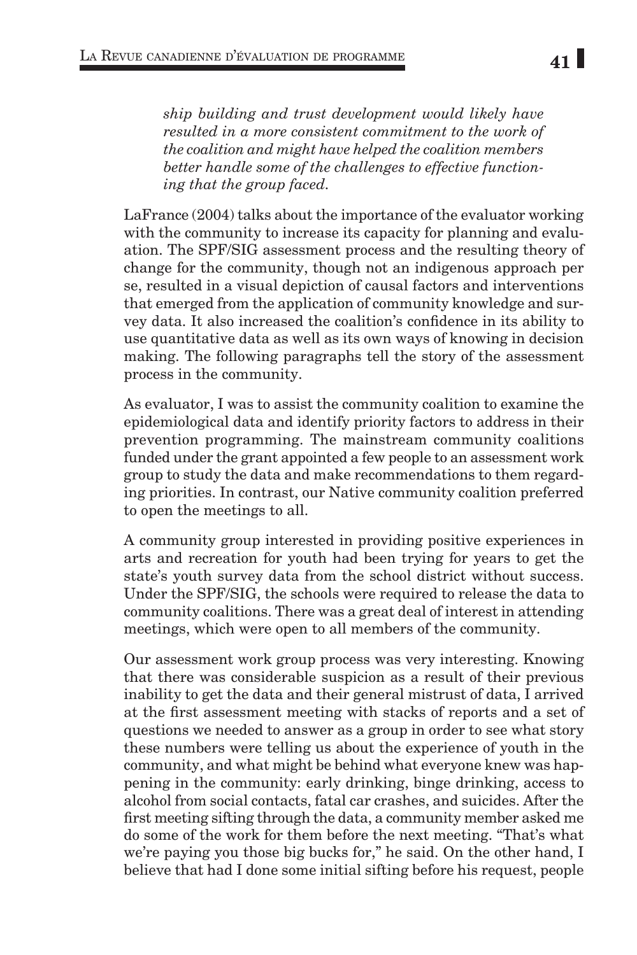*ship building and trust development would likely have resulted in a more consistent commitment to the work of the coalition and might have helped the coalition members better handle some of the challenges to effective functioning that the group faced.*

LaFrance (2004) talks about the importance of the evaluator working with the community to increase its capacity for planning and evaluation. The SPF/SIG assessment process and the resulting theory of change for the community, though not an indigenous approach per se, resulted in a visual depiction of causal factors and interventions that emerged from the application of community knowledge and survey data. It also increased the coalition's confidence in its ability to use quantitative data as well as its own ways of knowing in decision making. The following paragraphs tell the story of the assessment process in the community.

As evaluator, I was to assist the community coalition to examine the epidemiological data and identify priority factors to address in their prevention programming. The mainstream community coalitions funded under the grant appointed a few people to an assessment work group to study the data and make recommendations to them regarding priorities. In contrast, our Native community coalition preferred to open the meetings to all.

A community group interested in providing positive experiences in arts and recreation for youth had been trying for years to get the state's youth survey data from the school district without success. Under the SPF/SIG, the schools were required to release the data to community coalitions. There was a great deal of interest in attending meetings, which were open to all members of the community.

Our assessment work group process was very interesting. Knowing that there was considerable suspicion as a result of their previous inability to get the data and their general mistrust of data, I arrived at the first assessment meeting with stacks of reports and a set of questions we needed to answer as a group in order to see what story these numbers were telling us about the experience of youth in the community, and what might be behind what everyone knew was happening in the community: early drinking, binge drinking, access to alcohol from social contacts, fatal car crashes, and suicides. After the first meeting sifting through the data, a community member asked me do some of the work for them before the next meeting. "That's what we're paying you those big bucks for," he said. On the other hand, I believe that had I done some initial sifting before his request, people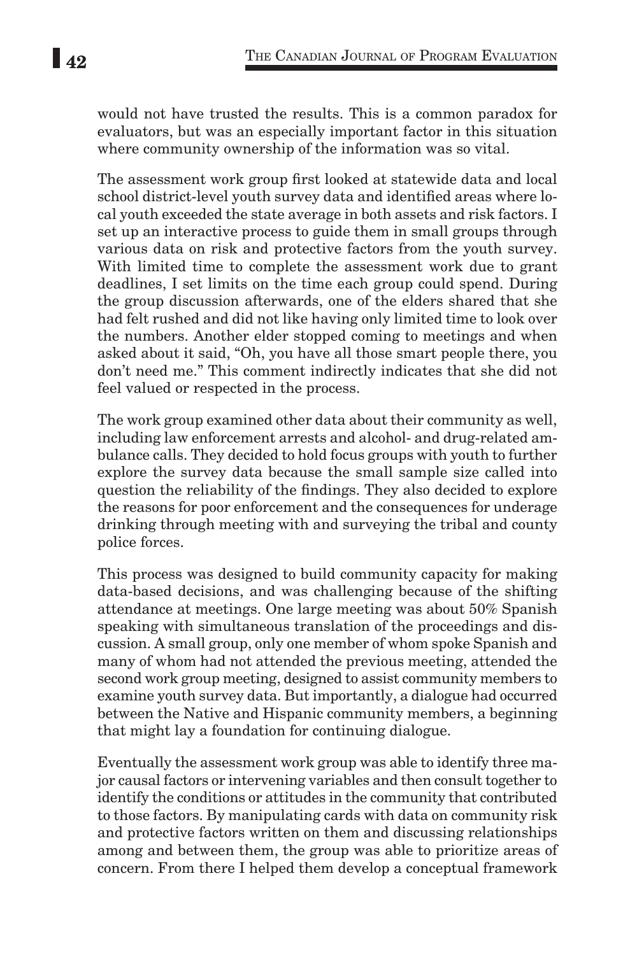would not have trusted the results. This is a common paradox for evaluators, but was an especially important factor in this situation where community ownership of the information was so vital.

The assessment work group first looked at statewide data and local school district-level youth survey data and identified areas where local youth exceeded the state average in both assets and risk factors. I set up an interactive process to guide them in small groups through various data on risk and protective factors from the youth survey. With limited time to complete the assessment work due to grant deadlines, I set limits on the time each group could spend. During the group discussion afterwards, one of the elders shared that she had felt rushed and did not like having only limited time to look over the numbers. Another elder stopped coming to meetings and when asked about it said, "Oh, you have all those smart people there, you don't need me." This comment indirectly indicates that she did not feel valued or respected in the process.

The work group examined other data about their community as well, including law enforcement arrests and alcohol- and drug-related ambulance calls. They decided to hold focus groups with youth to further explore the survey data because the small sample size called into question the reliability of the findings. They also decided to explore the reasons for poor enforcement and the consequences for underage drinking through meeting with and surveying the tribal and county police forces.

This process was designed to build community capacity for making data-based decisions, and was challenging because of the shifting attendance at meetings. One large meeting was about 50% Spanish speaking with simultaneous translation of the proceedings and discussion. A small group, only one member of whom spoke Spanish and many of whom had not attended the previous meeting, attended the second work group meeting, designed to assist community members to examine youth survey data. But importantly, a dialogue had occurred between the Native and Hispanic community members, a beginning that might lay a foundation for continuing dialogue.

Eventually the assessment work group was able to identify three major causal factors or intervening variables and then consult together to identify the conditions or attitudes in the community that contributed to those factors. By manipulating cards with data on community risk and protective factors written on them and discussing relationships among and between them, the group was able to prioritize areas of concern. From there I helped them develop a conceptual framework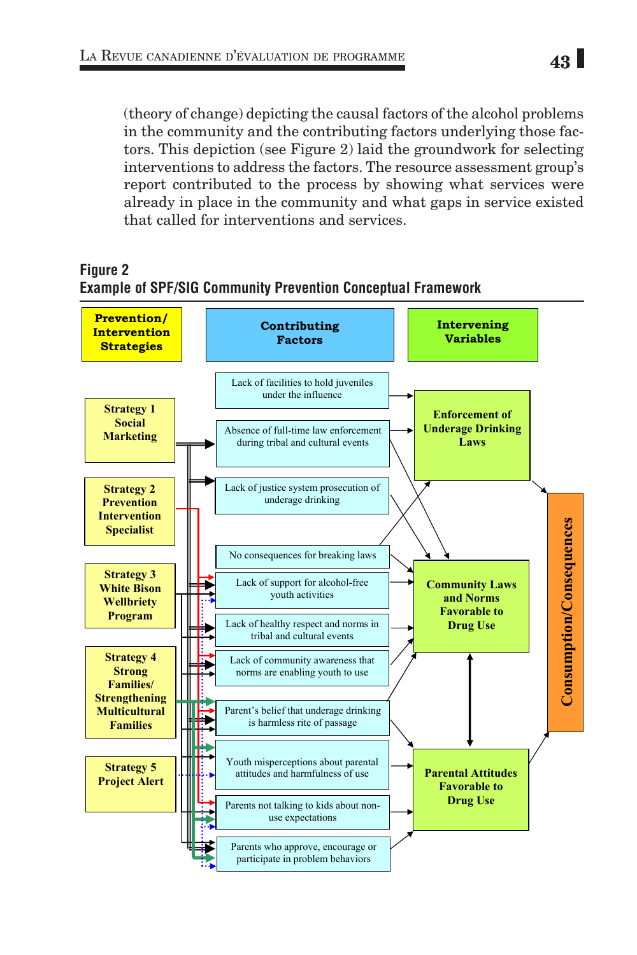(theory of change) depicting the causal factors of the alcohol problems in the community and the contributing factors underlying those factors. This depiction (see Figure 2) laid the groundwork for selecting interventions to address the factors. The resource assessment group's report contributed to the process by showing what services were already in place in the community and what gaps in service existed that called for interventions and services.

## **Figure 2 Example of SPF/SIG Community Prevention Conceptual Framework**

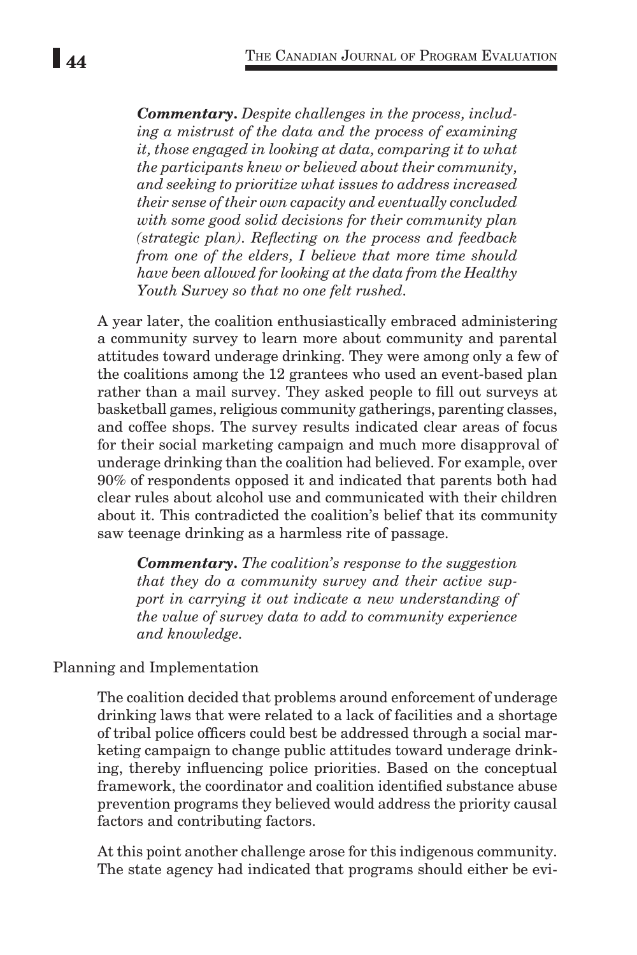*Commentary. Despite challenges in the process, including a mistrust of the data and the process of examining it, those engaged in looking at data, comparing it to what the participants knew or believed about their community, and seeking to prioritize what issues to address increased their sense of their own capacity and eventually concluded with some good solid decisions for their community plan (strategic plan). Reflecting on the process and feedback from one of the elders, I believe that more time should have been allowed for looking at the data from the Healthy Youth Survey so that no one felt rushed.*

A year later, the coalition enthusiastically embraced administering a community survey to learn more about community and parental attitudes toward underage drinking. They were among only a few of the coalitions among the 12 grantees who used an event-based plan rather than a mail survey. They asked people to fill out surveys at basketball games, religious community gatherings, parenting classes, and coffee shops. The survey results indicated clear areas of focus for their social marketing campaign and much more disapproval of underage drinking than the coalition had believed. For example, over 90% of respondents opposed it and indicated that parents both had clear rules about alcohol use and communicated with their children about it. This contradicted the coalition's belief that its community saw teenage drinking as a harmless rite of passage.

*Commentary. The coalition's response to the suggestion that they do a community survey and their active support in carrying it out indicate a new understanding of the value of survey data to add to community experience and knowledge.*

## Planning and Implementation

The coalition decided that problems around enforcement of underage drinking laws that were related to a lack of facilities and a shortage of tribal police officers could best be addressed through a social marketing campaign to change public attitudes toward underage drinking, thereby influencing police priorities. Based on the conceptual framework, the coordinator and coalition identified substance abuse prevention programs they believed would address the priority causal factors and contributing factors.

At this point another challenge arose for this indigenous community. The state agency had indicated that programs should either be evi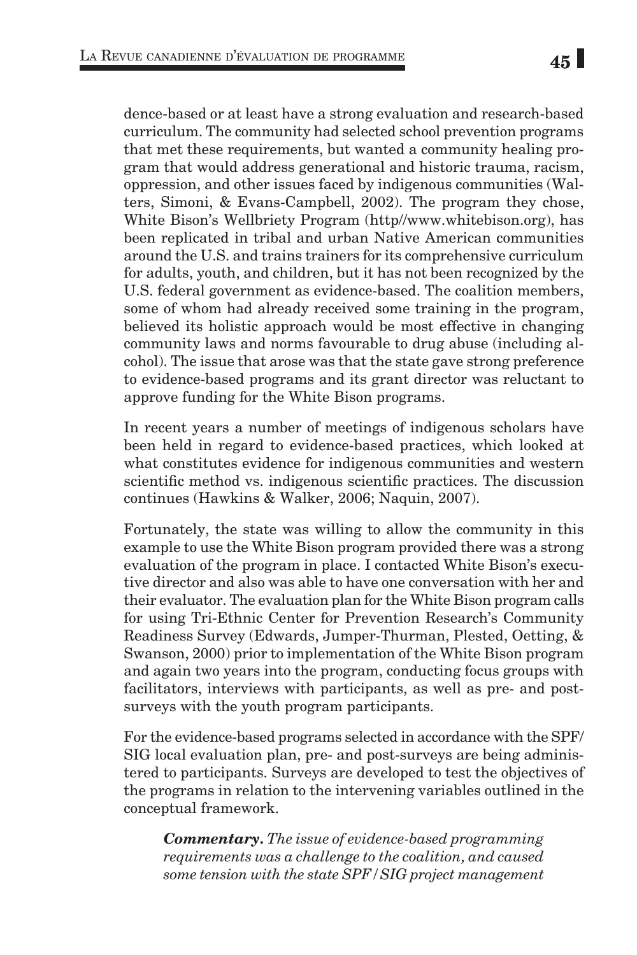dence-based or at least have a strong evaluation and research-based curriculum. The community had selected school prevention programs that met these requirements, but wanted a community healing program that would address generational and historic trauma, racism, oppression, and other issues faced by indigenous communities (Walters, Simoni, & Evans-Campbell, 2002). The program they chose, White Bison's Wellbriety Program (http//www.whitebison.org), has been replicated in tribal and urban Native American communities around the U.S. and trains trainers for its comprehensive curriculum for adults, youth, and children, but it has not been recognized by the U.S. federal government as evidence-based. The coalition members, some of whom had already received some training in the program, believed its holistic approach would be most effective in changing community laws and norms favourable to drug abuse (including alcohol). The issue that arose was that the state gave strong preference to evidence-based programs and its grant director was reluctant to approve funding for the White Bison programs.

In recent years a number of meetings of indigenous scholars have been held in regard to evidence-based practices, which looked at what constitutes evidence for indigenous communities and western scientific method vs. indigenous scientific practices. The discussion continues (Hawkins & Walker, 2006; Naquin, 2007).

Fortunately, the state was willing to allow the community in this example to use the White Bison program provided there was a strong evaluation of the program in place. I contacted White Bison's executive director and also was able to have one conversation with her and their evaluator. The evaluation plan for the White Bison program calls for using Tri-Ethnic Center for Prevention Research's Community Readiness Survey (Edwards, Jumper-Thurman, Plested, Oetting, & Swanson, 2000) prior to implementation of the White Bison program and again two years into the program, conducting focus groups with facilitators, interviews with participants, as well as pre- and postsurveys with the youth program participants.

For the evidence-based programs selected in accordance with the SPF/ SIG local evaluation plan, pre- and post-surveys are being administered to participants. Surveys are developed to test the objectives of the programs in relation to the intervening variables outlined in the conceptual framework.

*Commentary. The issue of evidence-based programming requirements was a challenge to the coalition, and caused some tension with the state SPF/SIG project management*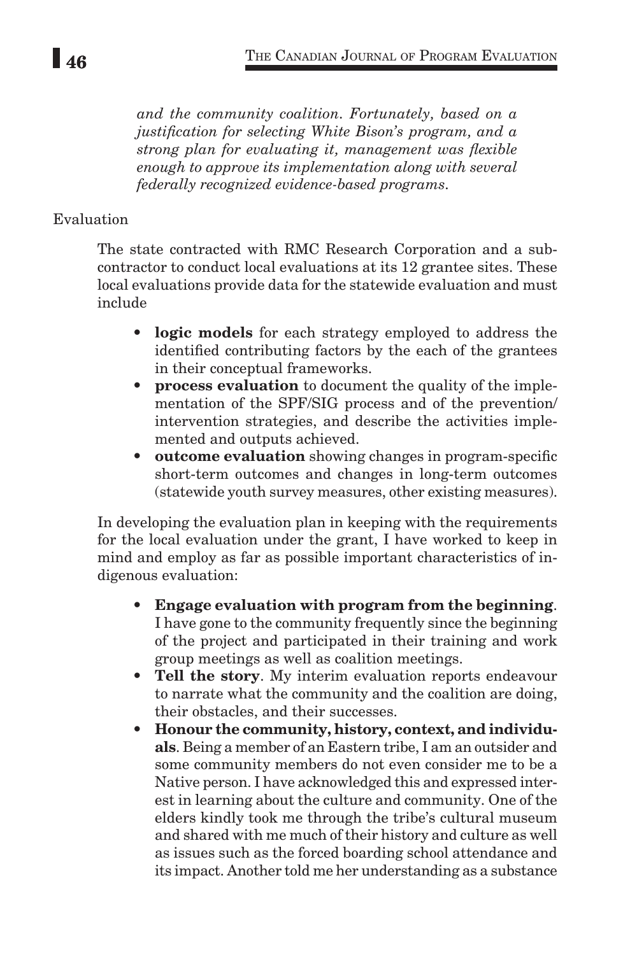*and the community coalition. Fortunately, based on a justification for selecting White Bison's program, and a strong plan for evaluating it, management was flexible enough to approve its implementation along with several federally recognized evidence-based programs.* 

# Evaluation

The state contracted with RMC Research Corporation and a subcontractor to conduct local evaluations at its 12 grantee sites. These local evaluations provide data for the statewide evaluation and must include

- **• logic models** for each strategy employed to address the identified contributing factors by the each of the grantees in their conceptual frameworks.
- **• process evaluation** to document the quality of the implementation of the SPF/SIG process and of the prevention/ intervention strategies, and describe the activities implemented and outputs achieved.
- **• outcome evaluation** showing changes in program-specific short-term outcomes and changes in long-term outcomes (statewide youth survey measures, other existing measures).

In developing the evaluation plan in keeping with the requirements for the local evaluation under the grant, I have worked to keep in mind and employ as far as possible important characteristics of indigenous evaluation:

- **• Engage evaluation with program from the beginning**. I have gone to the community frequently since the beginning of the project and participated in their training and work group meetings as well as coalition meetings.
- **• Tell the story**. My interim evaluation reports endeavour to narrate what the community and the coalition are doing, their obstacles, and their successes.
- **• Honour the community, history, context, and individuals**. Being a member of an Eastern tribe, I am an outsider and some community members do not even consider me to be a Native person. I have acknowledged this and expressed interest in learning about the culture and community. One of the elders kindly took me through the tribe's cultural museum and shared with me much of their history and culture as well as issues such as the forced boarding school attendance and its impact. Another told me her understanding as a substance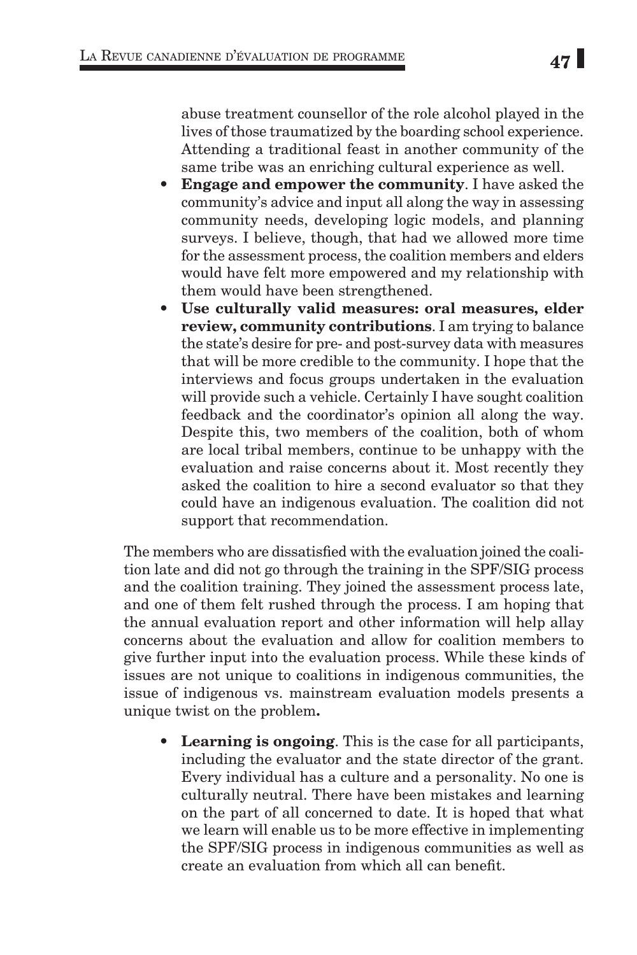abuse treatment counsellor of the role alcohol played in the lives of those traumatized by the boarding school experience. Attending a traditional feast in another community of the same tribe was an enriching cultural experience as well.

- **• Engage and empower the community**. I have asked the community's advice and input all along the way in assessing community needs, developing logic models, and planning surveys. I believe, though, that had we allowed more time for the assessment process, the coalition members and elders would have felt more empowered and my relationship with them would have been strengthened.
- **• Use culturally valid measures: oral measures, elder review, community contributions**. I am trying to balance the state's desire for pre- and post-survey data with measures that will be more credible to the community. I hope that the interviews and focus groups undertaken in the evaluation will provide such a vehicle. Certainly I have sought coalition feedback and the coordinator's opinion all along the way. Despite this, two members of the coalition, both of whom are local tribal members, continue to be unhappy with the evaluation and raise concerns about it. Most recently they asked the coalition to hire a second evaluator so that they could have an indigenous evaluation. The coalition did not support that recommendation.

The members who are dissatisfied with the evaluation joined the coalition late and did not go through the training in the SPF/SIG process and the coalition training. They joined the assessment process late, and one of them felt rushed through the process. I am hoping that the annual evaluation report and other information will help allay concerns about the evaluation and allow for coalition members to give further input into the evaluation process. While these kinds of issues are not unique to coalitions in indigenous communities, the issue of indigenous vs. mainstream evaluation models presents a unique twist on the problem**.**

**• Learning is ongoing**. This is the case for all participants, including the evaluator and the state director of the grant. Every individual has a culture and a personality. No one is culturally neutral. There have been mistakes and learning on the part of all concerned to date. It is hoped that what we learn will enable us to be more effective in implementing the SPF/SIG process in indigenous communities as well as create an evaluation from which all can benefit.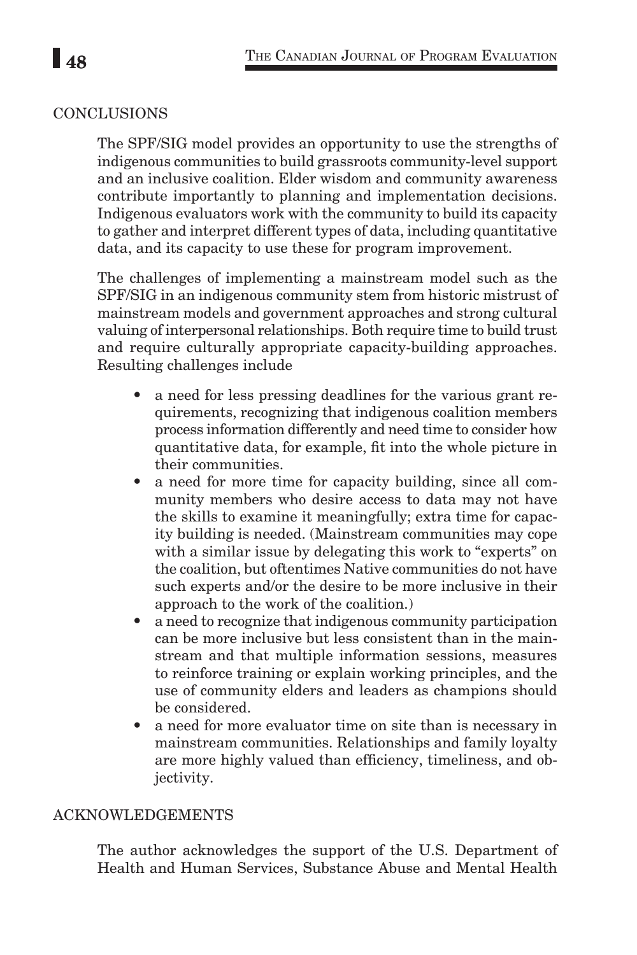# CONCLUSIONS

The SPF/SIG model provides an opportunity to use the strengths of indigenous communities to build grassroots community-level support and an inclusive coalition. Elder wisdom and community awareness contribute importantly to planning and implementation decisions. Indigenous evaluators work with the community to build its capacity to gather and interpret different types of data, including quantitative data, and its capacity to use these for program improvement.

The challenges of implementing a mainstream model such as the SPF/SIG in an indigenous community stem from historic mistrust of mainstream models and government approaches and strong cultural valuing of interpersonal relationships. Both require time to build trust and require culturally appropriate capacity-building approaches. Resulting challenges include

- **•** a need for less pressing deadlines for the various grant requirements, recognizing that indigenous coalition members process information differently and need time to consider how quantitative data, for example, fit into the whole picture in their communities.
- a need for more time for capacity building, since all community members who desire access to data may not have the skills to examine it meaningfully; extra time for capacity building is needed. (Mainstream communities may cope with a similar issue by delegating this work to "experts" on the coalition, but oftentimes Native communities do not have such experts and/or the desire to be more inclusive in their approach to the work of the coalition.)
- **•** a need to recognize that indigenous community participation can be more inclusive but less consistent than in the mainstream and that multiple information sessions, measures to reinforce training or explain working principles, and the use of community elders and leaders as champions should be considered.
- **•** a need for more evaluator time on site than is necessary in mainstream communities. Relationships and family loyalty are more highly valued than efficiency, timeliness, and objectivity.

## ACKNOWLEDGEMENTS

The author acknowledges the support of the U.S. Department of Health and Human Services, Substance Abuse and Mental Health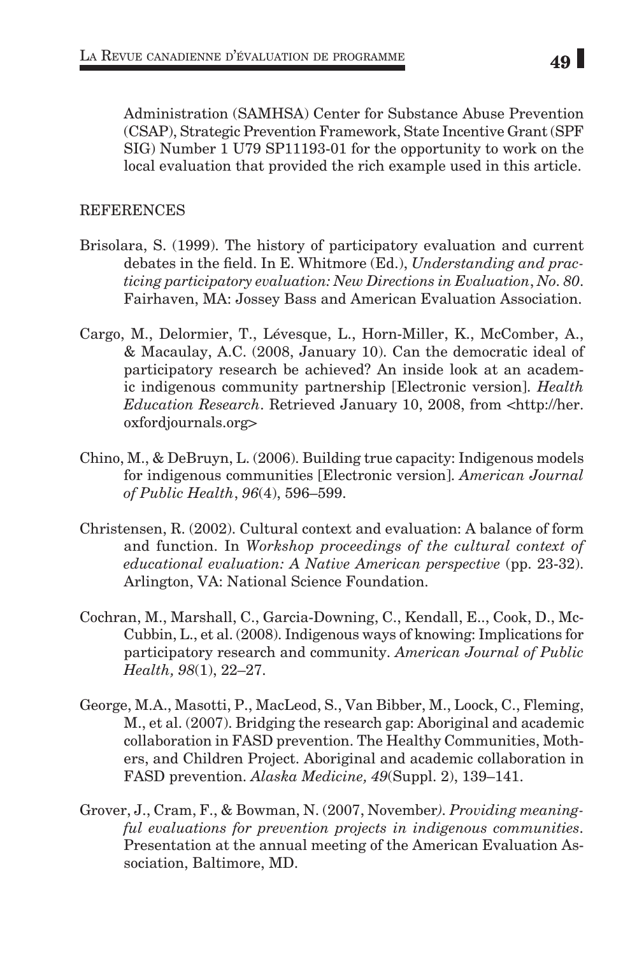Administration (SAMHSA) Center for Substance Abuse Prevention (CSAP), Strategic Prevention Framework, State Incentive Grant (SPF SIG) Number 1 U79 SP11193-01 for the opportunity to work on the local evaluation that provided the rich example used in this article.

# **REFERENCES**

- Brisolara, S. (1999). The history of participatory evaluation and current debates in the field. In E. Whitmore (Ed.), *Understanding and practicing participatory evaluation: New Directions in Evaluation*, *No. 80*. Fairhaven, MA: Jossey Bass and American Evaluation Association.
- Cargo, M., Delormier, T., Lévesque, L., Horn-Miller, K., McComber, A., & Macaulay, A.C. (2008, January 10). Can the democratic ideal of participatory research be achieved? An inside look at an academic indigenous community partnership [Electronic version]. *Health Education Research.* Retrieved January 10, 2008, from <http://her. oxfordjournals.org>
- Chino, M., & DeBruyn, L. (2006). Building true capacity: Indigenous models for indigenous communities [Electronic version]. *American Journal of Public Health*, *96*(4), 596–599.
- Christensen, R. (2002). Cultural context and evaluation: A balance of form and function. In *Workshop proceedings of the cultural context of educational evaluation: A Native American perspective* (pp. 23-32). Arlington, VA: National Science Foundation.
- Cochran, M., Marshall, C., Garcia-Downing, C., Kendall, E.., Cook, D., Mc-Cubbin, L., et al. (2008). Indigenous ways of knowing: Implications for participatory research and community. *American Journal of Public Health, 98*(1), 22–27.
- George, M.A., Masotti, P., MacLeod, S., Van Bibber, M., Loock, C., Fleming, M., et al. (2007). Bridging the research gap: Aboriginal and academic collaboration in FASD prevention. The Healthy Communities, Mothers, and Children Project. Aboriginal and academic collaboration in FASD prevention. *Alaska Medicine, 49*(Suppl. 2), 139–141.
- Grover, J., Cram, F., & Bowman, N. (2007, November*). Providing meaningful evaluations for prevention projects in indigenous communities.* Presentation at the annual meeting of the American Evaluation Association, Baltimore, MD.